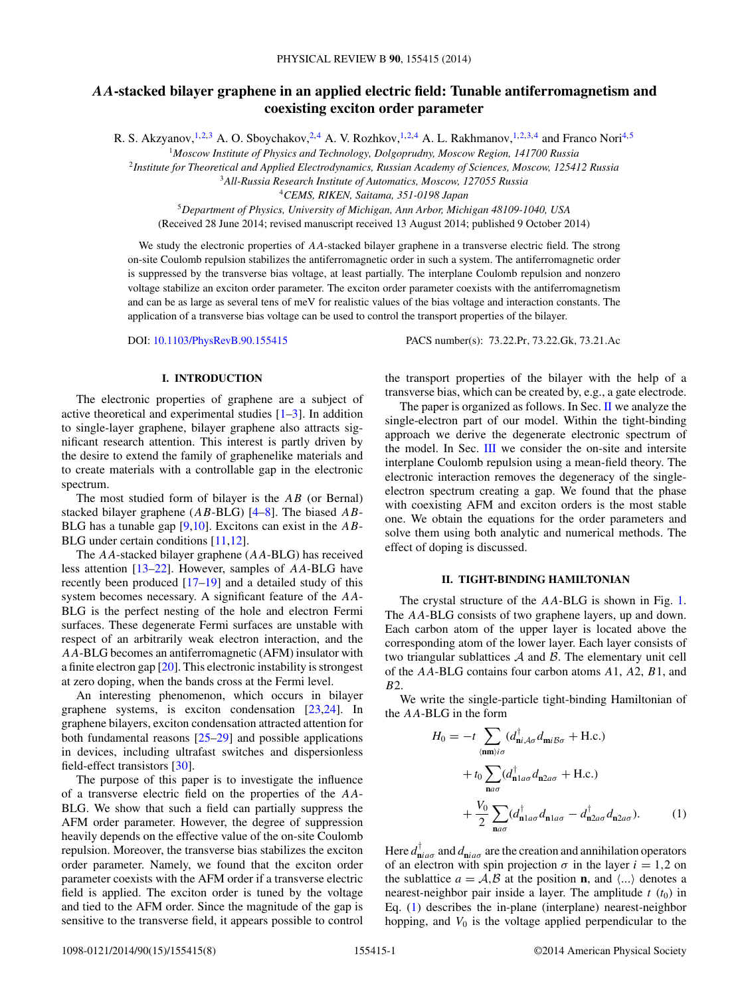# <span id="page-0-0"></span>*AA***-stacked bilayer graphene in an applied electric field: Tunable antiferromagnetism and coexisting exciton order parameter**

R. S. Akzyanov,<sup>1,2,3</sup> A. O. Sboychakov,<sup>2,4</sup> A. V. Rozhkov,<sup>1,2,4</sup> A. L. Rakhmanov,<sup>1,2,3,4</sup> and Franco Nori<sup>4,5</sup>

<sup>1</sup>*Moscow Institute of Physics and Technology, Dolgoprudny, Moscow Region, 141700 Russia*

<sup>2</sup>*Institute for Theoretical and Applied Electrodynamics, Russian Academy of Sciences, Moscow, 125412 Russia*

<sup>3</sup>*All-Russia Research Institute of Automatics, Moscow, 127055 Russia*

<sup>4</sup>*CEMS, RIKEN, Saitama, 351-0198 Japan*

<sup>5</sup>*Department of Physics, University of Michigan, Ann Arbor, Michigan 48109-1040, USA*

(Received 28 June 2014; revised manuscript received 13 August 2014; published 9 October 2014)

We study the electronic properties of *AA*-stacked bilayer graphene in a transverse electric field. The strong on-site Coulomb repulsion stabilizes the antiferromagnetic order in such a system. The antiferromagnetic order is suppressed by the transverse bias voltage, at least partially. The interplane Coulomb repulsion and nonzero voltage stabilize an exciton order parameter. The exciton order parameter coexists with the antiferromagnetism and can be as large as several tens of meV for realistic values of the bias voltage and interaction constants. The application of a transverse bias voltage can be used to control the transport properties of the bilayer.

DOI: [10.1103/PhysRevB.90.155415](http://dx.doi.org/10.1103/PhysRevB.90.155415) PACS number(s): 73*.*22*.*Pr*,* 73*.*22*.*Gk*,* 73*.*21*.*Ac

#### **I. INTRODUCTION**

The electronic properties of graphene are a subject of active theoretical and experimental studies  $[1-3]$ . In addition to single-layer graphene, bilayer graphene also attracts significant research attention. This interest is partly driven by the desire to extend the family of graphenelike materials and to create materials with a controllable gap in the electronic spectrum.

The most studied form of bilayer is the *AB* (or Bernal) stacked bilayer graphene (*AB*-BLG) [\[4–8\]](#page-6-0). The biased *AB*-BLG has a tunable gap [\[9,10\]](#page-6-0). Excitons can exist in the *AB*-BLG under certain conditions [\[11,12\]](#page-6-0).

The *AA*-stacked bilayer graphene (*AA*-BLG) has received less attention [\[13–22\]](#page-6-0). However, samples of *AA*-BLG have recently been produced  $[17-19]$  and a detailed study of this system becomes necessary. A significant feature of the *AA*-BLG is the perfect nesting of the hole and electron Fermi surfaces. These degenerate Fermi surfaces are unstable with respect of an arbitrarily weak electron interaction, and the *AA*-BLG becomes an antiferromagnetic (AFM) insulator with a finite electron gap [\[20\]](#page-6-0). This electronic instability is strongest at zero doping, when the bands cross at the Fermi level.

An interesting phenomenon, which occurs in bilayer graphene systems, is exciton condensation [\[23,24\]](#page-6-0). In graphene bilayers, exciton condensation attracted attention for both fundamental reasons [\[25](#page-6-0)[–29\]](#page-7-0) and possible applications in devices, including ultrafast switches and dispersionless field-effect transistors [\[30\]](#page-7-0).

The purpose of this paper is to investigate the influence of a transverse electric field on the properties of the *AA*-BLG. We show that such a field can partially suppress the AFM order parameter. However, the degree of suppression heavily depends on the effective value of the on-site Coulomb repulsion. Moreover, the transverse bias stabilizes the exciton order parameter. Namely, we found that the exciton order parameter coexists with the AFM order if a transverse electric field is applied. The exciton order is tuned by the voltage and tied to the AFM order. Since the magnitude of the gap is sensitive to the transverse field, it appears possible to control the transport properties of the bilayer with the help of a transverse bias, which can be created by, e.g., a gate electrode.

The paper is organized as follows. In Sec. II we analyze the single-electron part of our model. Within the tight-binding approach we derive the degenerate electronic spectrum of the model. In Sec. [III](#page-1-0) we consider the on-site and intersite interplane Coulomb repulsion using a mean-field theory. The electronic interaction removes the degeneracy of the singleelectron spectrum creating a gap. We found that the phase with coexisting AFM and exciton orders is the most stable one. We obtain the equations for the order parameters and solve them using both analytic and numerical methods. The effect of doping is discussed.

#### **II. TIGHT-BINDING HAMILTONIAN**

The crystal structure of the *AA*-BLG is shown in Fig. [1.](#page-1-0) The *AA*-BLG consists of two graphene layers, up and down. Each carbon atom of the upper layer is located above the corresponding atom of the lower layer. Each layer consists of two triangular sublattices  $A$  and  $B$ . The elementary unit cell of the *AA*-BLG contains four carbon atoms *A*1, *A*2, *B*1, and *B*2.

We write the single-particle tight-binding Hamiltonian of the *AA*-BLG in the form

$$
H_0 = -t \sum_{\langle \mathbf{nn} \rangle i\sigma} (d_{\mathbf{n}iA\sigma}^{\dagger} d_{\mathbf{m}iB\sigma} + \text{H.c.})
$$
  
+  $t_0 \sum_{\mathbf{n}a\sigma} (d_{\mathbf{n}1a\sigma}^{\dagger} d_{\mathbf{n}2a\sigma} + \text{H.c.})$   
+  $\frac{V_0}{2} \sum_{\mathbf{n}a\sigma} (d_{\mathbf{n}1a\sigma}^{\dagger} d_{\mathbf{n}1a\sigma} - d_{\mathbf{n}2a\sigma}^{\dagger} d_{\mathbf{n}2a\sigma}).$  (1)

Here  $d_{\mathbf{n} i a \sigma}^{\dagger}$  and  $d_{\mathbf{n} i a \sigma}^{\dagger}$  are the creation and annihilation operators of an electron with spin projection  $\sigma$  in the layer  $i = 1,2$  on the sublattice  $a = A, B$  at the position **n**, and  $\langle ... \rangle$  denotes a nearest-neighbor pair inside a layer. The amplitude  $t(t_0)$  in Eq. (1) describes the in-plane (interplane) nearest-neighbor hopping, and  $V_0$  is the voltage applied perpendicular to the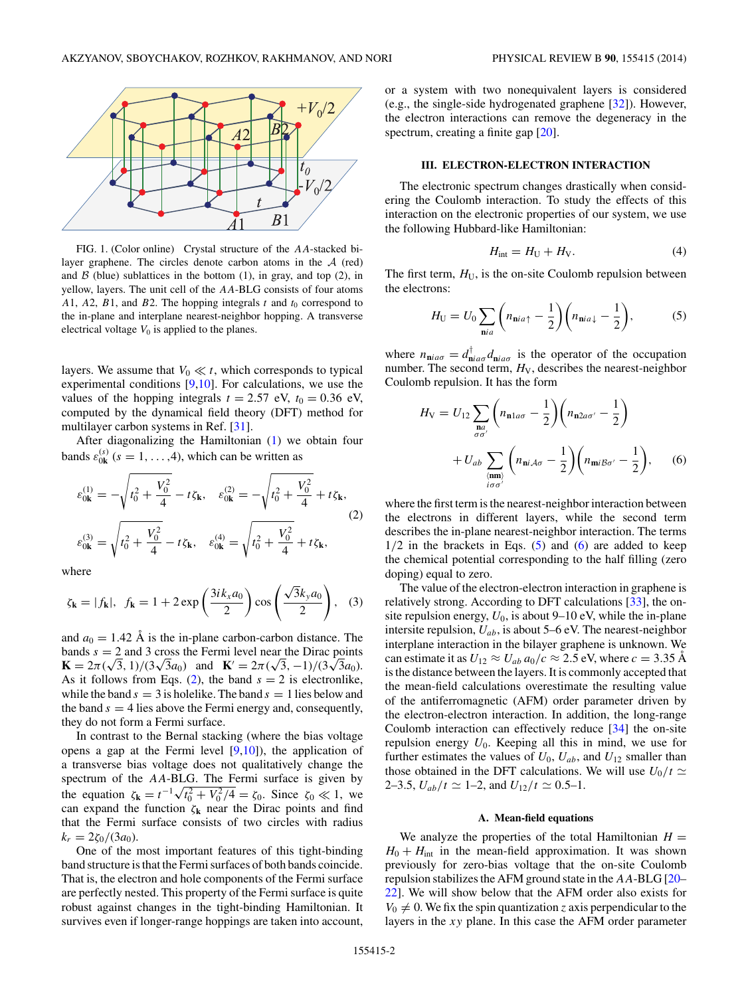<span id="page-1-0"></span>

FIG. 1. (Color online) Crystal structure of the *AA*-stacked bilayer graphene. The circles denote carbon atoms in the  $A$  (red) and  $\beta$  (blue) sublattices in the bottom (1), in gray, and top (2), in yellow, layers. The unit cell of the *AA*-BLG consists of four atoms *A*1, *A*2, *B*1, and *B*2. The hopping integrals *t* and  $t_0$  correspond to the in-plane and interplane nearest-neighbor hopping. A transverse electrical voltage  $V_0$  is applied to the planes.

layers. We assume that  $V_0 \ll t$ , which corresponds to typical experimental conditions [\[9,10\]](#page-6-0). For calculations, we use the values of the hopping integrals  $t = 2.57$  eV,  $t_0 = 0.36$  eV, computed by the dynamical field theory (DFT) method for multilayer carbon systems in Ref. [\[31\]](#page-7-0).

After diagonalizing the Hamiltonian [\(1\)](#page-0-0) we obtain four bands  $\varepsilon_{0k}^{(s)}$  ( $s = 1, ..., 4$ ), which can be written as

$$
\varepsilon_{0\mathbf{k}}^{(1)} = -\sqrt{t_0^2 + \frac{V_0^2}{4}} - t\zeta_{\mathbf{k}}, \quad \varepsilon_{0\mathbf{k}}^{(2)} = -\sqrt{t_0^2 + \frac{V_0^2}{4}} + t\zeta_{\mathbf{k}},
$$
  

$$
\varepsilon_{0\mathbf{k}}^{(3)} = \sqrt{t_0^2 + \frac{V_0^2}{4}} - t\zeta_{\mathbf{k}}, \quad \varepsilon_{0\mathbf{k}}^{(4)} = \sqrt{t_0^2 + \frac{V_0^2}{4}} + t\zeta_{\mathbf{k}},
$$
 (2)

where

$$
\zeta_{\mathbf{k}} = |f_{\mathbf{k}}|, f_{\mathbf{k}} = 1 + 2 \exp\left(\frac{3ik_x a_0}{2}\right) \cos\left(\frac{\sqrt{3}k_y a_0}{2}\right),
$$
 (3)

and  $a_0 = 1.42$  Å is the in-plane carbon-carbon distance. The bands  $s = 2$  and 3 cross the Fermi level near the Dirac points **K** =  $2\pi(\sqrt{3}, 1)/(3\sqrt{3}a_0)$  and **K**' =  $2\pi(\sqrt{3}, -1)/(3\sqrt{3}a_0)$ . As it follows from Eqs. (2), the band  $s = 2$  is electronlike, while the band  $s = 3$  is holelike. The band  $s = 1$  lies below and the band  $s = 4$  lies above the Fermi energy and, consequently, they do not form a Fermi surface.

In contrast to the Bernal stacking (where the bias voltage opens a gap at the Fermi level  $[9,10]$ , the application of a transverse bias voltage does not qualitatively change the spectrum of the *AA*-BLG. The Fermi surface is given by the equation  $\zeta_{\bf k} = t^{-1}\sqrt{t_0^2 + V_0^2/4} = \zeta_0$ . Since  $\zeta_0 \ll 1$ , we can expand the function *ζ***<sup>k</sup>** near the Dirac points and find that the Fermi surface consists of two circles with radius  $k_r = 2\zeta_0/(3a_0).$ 

One of the most important features of this tight-binding band structure is that the Fermi surfaces of both bands coincide. That is, the electron and hole components of the Fermi surface are perfectly nested. This property of the Fermi surface is quite robust against changes in the tight-binding Hamiltonian. It survives even if longer-range hoppings are taken into account,

or a system with two nonequivalent layers is considered (e.g., the single-side hydrogenated graphene [\[32\]](#page-7-0)). However, the electron interactions can remove the degeneracy in the spectrum, creating a finite gap [\[20\]](#page-6-0).

#### **III. ELECTRON-ELECTRON INTERACTION**

The electronic spectrum changes drastically when considering the Coulomb interaction. To study the effects of this interaction on the electronic properties of our system, we use the following Hubbard-like Hamiltonian:

$$
H_{\text{int}} = H_{\text{U}} + H_{\text{V}}.\tag{4}
$$

The first term,  $H_U$ , is the on-site Coulomb repulsion between the electrons:

$$
H_{\rm U} = U_0 \sum_{\rm n
$$

where  $n_{\textbf{m}i a\sigma} = d_{\textbf{m}i a\sigma}^{\dagger} d_{\textbf{m}i a\sigma}$  is the operator of the occupation number. The second term,  $H_V$ , describes the nearest-neighbor Coulomb repulsion. It has the form

$$
H_{\rm V} = U_{12} \sum_{\substack{\mathbf{n}a'\\ \sigma\sigma'}} \left( n_{\mathbf{n}1a\sigma} - \frac{1}{2} \right) \left( n_{\mathbf{n}2a\sigma'} - \frac{1}{2} \right)
$$

$$
+ U_{ab} \sum_{\substack{\langle \mathbf{n} \mathbf{n} \rangle\\ i\sigma\sigma'}} \left( n_{\mathbf{n}iA\sigma} - \frac{1}{2} \right) \left( n_{\mathbf{m}iB\sigma'} - \frac{1}{2} \right), \qquad (6)
$$

where the first term is the nearest-neighbor interaction between the electrons in different layers, while the second term describes the in-plane nearest-neighbor interaction. The terms  $1/2$  in the brackets in Eqs.  $(5)$  and  $(6)$  are added to keep the chemical potential corresponding to the half filling (zero doping) equal to zero.

The value of the electron-electron interaction in graphene is relatively strong. According to DFT calculations [\[33\]](#page-7-0), the onsite repulsion energy,  $U_0$ , is about 9–10 eV, while the in-plane intersite repulsion, *Uab*, is about 5–6 eV. The nearest-neighbor interplane interaction in the bilayer graphene is unknown. We can estimate it as  $U_{12} \approx U_{ab} a_0/c \approx 2.5$  eV, where  $c = 3.35$  Å is the distance between the layers. It is commonly accepted that the mean-field calculations overestimate the resulting value of the antiferromagnetic (AFM) order parameter driven by the electron-electron interaction. In addition, the long-range Coulomb interaction can effectively reduce [\[34\]](#page-7-0) the on-site repulsion energy *U*0. Keeping all this in mind, we use for further estimates the values of  $U_0$ ,  $U_{ab}$ , and  $U_{12}$  smaller than those obtained in the DFT calculations. We will use  $U_0/t \simeq$  $2-3.5$ ,  $U_{ab}/t \simeq 1-2$ , and  $U_{12}/t \simeq 0.5-1$ .

#### **A. Mean-field equations**

We analyze the properties of the total Hamiltonian  $H =$  $H_0 + H_{int}$  in the mean-field approximation. It was shown previously for zero-bias voltage that the on-site Coulomb repulsion stabilizes the AFM ground state in the *AA*-BLG [\[20–](#page-6-0) [22\]](#page-6-0). We will show below that the AFM order also exists for  $V_0 \neq 0$ . We fix the spin quantization *z* axis perpendicular to the layers in the *xy* plane. In this case the AFM order parameter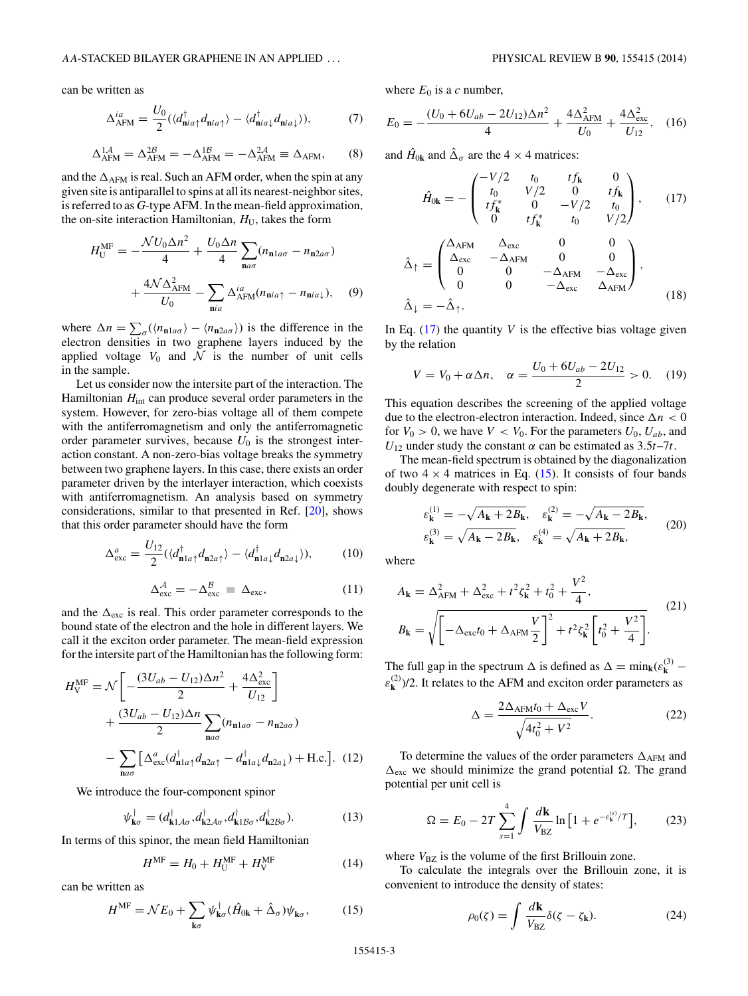#### <span id="page-2-0"></span>*AA*-STACKED BILAYER GRAPHENE IN AN APPLIED . . . PHYSICAL REVIEW B **90**, 155415 (2014)

can be written as

$$
\Delta_{\text{AFM}}^{ia} = \frac{U_0}{2} (\langle d_{\text{nia}\uparrow}^{\dagger} d_{\text{nia}\uparrow} \rangle - \langle d_{\text{nia}\downarrow}^{\dagger} d_{\text{nia}\downarrow} \rangle),\tag{7}
$$

$$
\Delta_{\text{AFM}}^{1\mathcal{A}} = \Delta_{\text{AFM}}^{2\mathcal{B}} = -\Delta_{\text{AFM}}^{1\mathcal{B}} = -\Delta_{\text{AFM}}^{2\mathcal{A}} \equiv \Delta_{\text{AFM}},\qquad(8)
$$

and the  $\Delta$ <sub>AFM</sub> is real. Such an AFM order, when the spin at any given site is antiparallel to spins at all its nearest-neighbor sites, is referred to as *G*-type AFM. In the mean-field approximation, the on-site interaction Hamiltonian,  $H_U$ , takes the form

$$
H_{\rm U}^{\rm MF} = -\frac{\mathcal{N}U_0\Delta n^2}{4} + \frac{U_0\Delta n}{4} \sum_{\mathbf{n}a\sigma} (n_{\mathbf{n}1a\sigma} - n_{\mathbf{n}2a\sigma}) + \frac{4\mathcal{N}\Delta_{\rm AFM}^2}{U_0} - \sum_{\mathbf{n}ia} \Delta_{\rm AFM}^{ia}(n_{\mathbf{n}ia\uparrow} - n_{\mathbf{n}ia\downarrow}), \quad (9)
$$

where  $\Delta n = \sum_{\sigma} (\langle n_{\mathbf{n}} \rangle - \langle n_{\mathbf{n} 2 a \sigma} \rangle)$  is the difference in the electron densities in two graphene layers induced by the applied voltage  $V_0$  and  $\mathcal N$  is the number of unit cells in the sample.

Let us consider now the intersite part of the interaction. The Hamiltonian  $H<sub>int</sub>$  can produce several order parameters in the system. However, for zero-bias voltage all of them compete with the antiferromagnetism and only the antiferromagnetic order parameter survives, because  $U_0$  is the strongest interaction constant. A non-zero-bias voltage breaks the symmetry between two graphene layers. In this case, there exists an order parameter driven by the interlayer interaction, which coexists with antiferromagnetism. An analysis based on symmetry considerations, similar to that presented in Ref. [\[20\]](#page-6-0), shows that this order parameter should have the form

$$
\Delta_{\text{exc}}^a = \frac{U_{12}}{2} (\langle d_{\text{n1}a\uparrow}^\dagger d_{\text{n2}a\uparrow} \rangle - \langle d_{\text{n1}a\downarrow}^\dagger d_{\text{n2}a\downarrow} \rangle),\tag{10}
$$

$$
\Delta_{\text{exc}}^{\mathcal{A}} = -\Delta_{\text{exc}}^{\mathcal{B}} \equiv \Delta_{\text{exc}}, \tag{11}
$$

and the  $\Delta_{\text{exc}}$  is real. This order parameter corresponds to the bound state of the electron and the hole in different layers. We call it the exciton order parameter. The mean-field expression for the intersite part of the Hamiltonian has the following form:

$$
H_V^{\text{MF}} = \mathcal{N} \left[ -\frac{(3U_{ab} - U_{12})\Delta n^2}{2} + \frac{4\Delta_{\text{exc}}^2}{U_{12}} \right] + \frac{(3U_{ab} - U_{12})\Delta n}{2} \sum_{\text{n}a\sigma} (n_{\text{n}1a\sigma} - n_{\text{n}2a\sigma}) - \sum_{\text{n}a\sigma} \left[ \Delta_{\text{exc}}^a (d_{\text{n}1a\uparrow}^\dagger d_{\text{n}2a\uparrow} - d_{\text{n}1a\downarrow}^\dagger d_{\text{n}2a\downarrow}) + \text{H.c.} \right]. \tag{12}
$$

We introduce the four-component spinor

$$
\psi_{\mathbf{k}\sigma}^{\dagger} = (d_{\mathbf{k}1A\sigma}^{\dagger}, d_{\mathbf{k}2A\sigma}^{\dagger}, d_{\mathbf{k}1B\sigma}^{\dagger}, d_{\mathbf{k}2B\sigma}^{\dagger}).
$$
 (13)

In terms of this spinor, the mean field Hamiltonian

$$
H^{\rm MF} = H_0 + H_{\rm U}^{\rm MF} + H_{\rm V}^{\rm MF}
$$
 (14)

can be written as

$$
H^{\rm MF} = \mathcal{N}E_0 + \sum_{\mathbf{k}\sigma} \psi_{\mathbf{k}\sigma}^\dagger (\hat{H}_{0\mathbf{k}} + \hat{\Delta}_\sigma) \psi_{\mathbf{k}\sigma},\tag{15}
$$

where  $E_0$  is a *c* number,

$$
E_0 = -\frac{(U_0 + 6U_{ab} - 2U_{12})\Delta n^2}{4} + \frac{4\Delta_{\text{AFM}}^2}{U_0} + \frac{4\Delta_{\text{exc}}^2}{U_{12}}, \quad (16)
$$

and  $\hat{H}_{0k}$  and  $\hat{\Delta}_{\sigma}$  are the 4  $\times$  4 matrices:

$$
\hat{H}_{0\mathbf{k}} = -\begin{pmatrix}\n-V/2 & t_0 & t f_{\mathbf{k}} & 0 \\
t_0 & V/2 & 0 & t f_{\mathbf{k}} \\
t f_{\mathbf{k}}^* & 0 & -V/2 & t_0 \\
0 & t f_{\mathbf{k}}^* & t_0 & V/2\n\end{pmatrix}, \quad (17)
$$

$$
\hat{\Delta}_{\uparrow} = \begin{pmatrix}\n\Delta_{\text{AFM}} & \Delta_{\text{exc}} & 0 & 0 \\
\Delta_{\text{exc}} & -\Delta_{\text{AFM}} & 0 & 0 \\
0 & 0 & -\Delta_{\text{AFM}} & -\Delta_{\text{exc}} \\
0 & 0 & -\Delta_{\text{exc}} & \Delta_{\text{AFM}}\n\end{pmatrix},
$$
\n
$$
\hat{\Delta}_{\downarrow} = -\hat{\Delta}_{\uparrow}.
$$
\n(18)

In Eq.  $(17)$  the quantity *V* is the effective bias voltage given by the relation

$$
V = V_0 + \alpha \Delta n, \quad \alpha = \frac{U_0 + 6U_{ab} - 2U_{12}}{2} > 0. \quad (19)
$$

This equation describes the screening of the applied voltage due to the electron-electron interaction. Indeed, since  $\Delta n < 0$ for  $V_0 > 0$ , we have  $V < V_0$ . For the parameters  $U_0$ ,  $U_{ab}$ , and *U*<sub>12</sub> under study the constant  $\alpha$  can be estimated as 3.5*t*–7*t*.

The mean-field spectrum is obtained by the diagonalization of two  $4 \times 4$  matrices in Eq. (15). It consists of four bands doubly degenerate with respect to spin:

$$
\varepsilon_{\mathbf{k}}^{(1)} = -\sqrt{A_{\mathbf{k}} + 2B_{\mathbf{k}}}, \quad \varepsilon_{\mathbf{k}}^{(2)} = -\sqrt{A_{\mathbf{k}} - 2B_{\mathbf{k}}}, \n\varepsilon_{\mathbf{k}}^{(3)} = \sqrt{A_{\mathbf{k}} - 2B_{\mathbf{k}}}, \quad \varepsilon_{\mathbf{k}}^{(4)} = \sqrt{A_{\mathbf{k}} + 2B_{\mathbf{k}}},
$$
\n(20)

where

$$
A_{\mathbf{k}} = \Delta_{\text{AFM}}^2 + \Delta_{\text{exc}}^2 + t^2 \zeta_{\mathbf{k}}^2 + t_0^2 + \frac{V^2}{4},
$$
  
\n
$$
B_{\mathbf{k}} = \sqrt{\left[ -\Delta_{\text{exc}} t_0 + \Delta_{\text{AFM}} \frac{V}{2} \right]^2 + t^2 \zeta_{\mathbf{k}}^2 \left[ t_0^2 + \frac{V^2}{4} \right]}.
$$
\n(21)

The full gap in the spectrum  $\Delta$  is defined as  $\Delta = \min_{\mathbf{k}} (\varepsilon_{\mathbf{k}}^{(3)} - \mathbf{k})$  $\varepsilon_{\mathbf{k}}^{(2)}$ )/2. It relates to the AFM and exciton order parameters as

$$
\Delta = \frac{2\Delta_{AFM}t_0 + \Delta_{exc}V}{\sqrt{4t_0^2 + V^2}}.
$$
\n(22)

To determine the values of the order parameters  $\Delta_{\text{AFM}}$  and  $\Delta_{\text{exc}}$  we should minimize the grand potential  $\Omega$ . The grand potential per unit cell is

$$
\Omega = E_0 - 2T \sum_{s=1}^{4} \int \frac{d\mathbf{k}}{V_{\rm BZ}} \ln \left[ 1 + e^{-\varepsilon_{\mathbf{k}}^{(s)}/T} \right],\tag{23}
$$

where  $V_{\text{BZ}}$  is the volume of the first Brillouin zone.

To calculate the integrals over the Brillouin zone, it is convenient to introduce the density of states:

$$
\rho_0(\zeta) = \int \frac{d\mathbf{k}}{V_{\rm BZ}} \delta(\zeta - \zeta_{\mathbf{k}}). \tag{24}
$$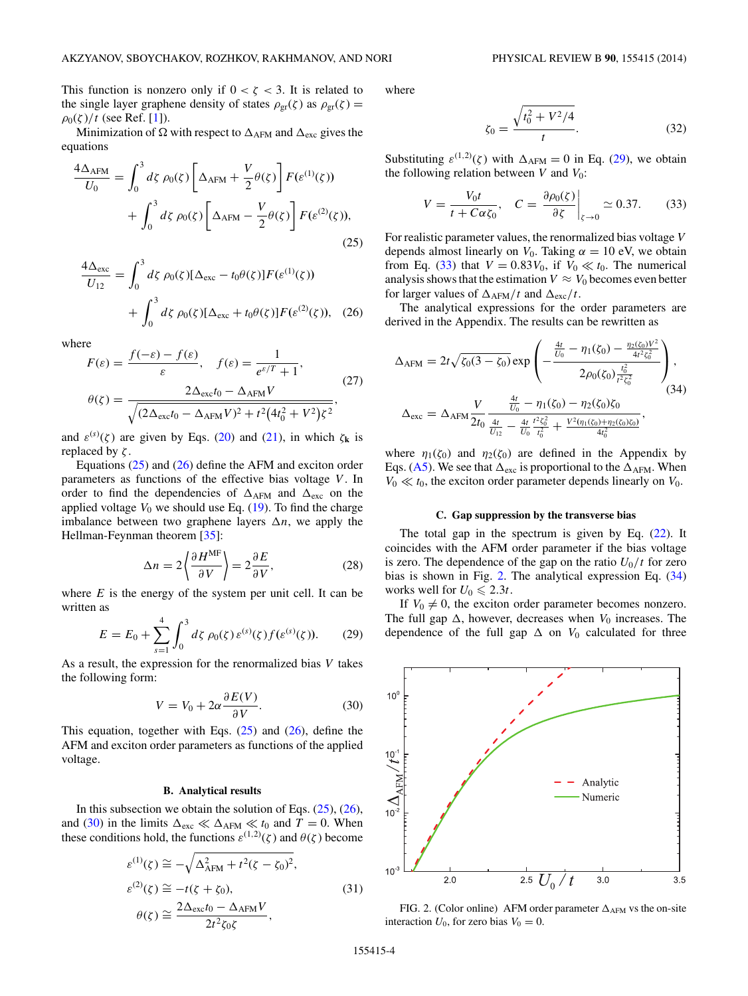<span id="page-3-0"></span>This function is nonzero only if  $0 < \zeta < 3$ . It is related to the single layer graphene density of states  $\rho_{gr}(\zeta)$  as  $\rho_{gr}(\zeta)$  =  $ρ<sub>0</sub>(ζ)/t$  (see Ref. [\[1\]](#page-6-0)).

Minimization of  $\Omega$  with respect to  $\Delta_{\text{AFM}}$  and  $\Delta_{\text{exc}}$  gives the equations

$$
\frac{4\Delta_{\text{AFM}}}{U_0} = \int_0^3 d\zeta \,\rho_0(\zeta) \left[ \Delta_{\text{AFM}} + \frac{V}{2} \theta(\zeta) \right] F(\varepsilon^{(1)}(\zeta)) + \int_0^3 d\zeta \,\rho_0(\zeta) \left[ \Delta_{\text{AFM}} - \frac{V}{2} \theta(\zeta) \right] F(\varepsilon^{(2)}(\zeta)), \tag{25}
$$

$$
\frac{4\Delta_{\text{exc}}}{U_{12}} = \int_0^3 d\zeta \,\rho_0(\zeta) [\Delta_{\text{exc}} - t_0 \theta(\zeta)] F(\varepsilon^{(1)}(\zeta)) \n+ \int_0^3 d\zeta \,\rho_0(\zeta) [\Delta_{\text{exc}} + t_0 \theta(\zeta)] F(\varepsilon^{(2)}(\zeta)), \quad (26)
$$

where

$$
F(\varepsilon) = \frac{f(-\varepsilon) - f(\varepsilon)}{\varepsilon}, \quad f(\varepsilon) = \frac{1}{e^{\varepsilon/T} + 1},
$$
  

$$
\theta(\zeta) = \frac{2\Delta_{\text{exc}}t_0 - \Delta_{\text{AFM}}V}{\sqrt{(2\Delta_{\text{exc}}t_0 - \Delta_{\text{AFM}}V)^2 + t^2(4t_0^2 + V^2)\zeta^2}},
$$
(27)

and  $\varepsilon^{(s)}(\zeta)$  are given by Eqs. [\(20\)](#page-2-0) and [\(21\)](#page-2-0), in which  $\zeta_{\mathbf{k}}$  is replaced by *ζ* .

Equations (25) and (26) define the AFM and exciton order parameters as functions of the effective bias voltage *V*. In order to find the dependencies of  $\Delta_{\text{AFM}}$  and  $\Delta_{\text{exc}}$  on the applied voltage  $V_0$  we should use Eq.  $(19)$ . To find the charge imbalance between two graphene layers  $\Delta n$ , we apply the Hellman-Feynman theorem [\[35\]](#page-7-0):

$$
\Delta n = 2 \left\langle \frac{\partial H^{\rm MF}}{\partial V} \right\rangle = 2 \frac{\partial E}{\partial V},\tag{28}
$$

where *E* is the energy of the system per unit cell. It can be written as

$$
E = E_0 + \sum_{s=1}^{4} \int_0^3 d\zeta \, \rho_0(\zeta) \, \varepsilon^{(s)}(\zeta) f(\varepsilon^{(s)}(\zeta)). \tag{29}
$$

As a result, the expression for the renormalized bias *V* takes the following form:

$$
V = V_0 + 2\alpha \frac{\partial E(V)}{\partial V}.
$$
 (30)

This equation, together with Eqs.  $(25)$  and  $(26)$ , define the AFM and exciton order parameters as functions of the applied voltage.

#### **B. Analytical results**

In this subsection we obtain the solution of Eqs.  $(25)$ ,  $(26)$ , and (30) in the limits  $\Delta_{\text{exc}} \ll \Delta_{\text{AFM}} \ll t_0$  and  $T = 0$ . When these conditions hold, the functions  $\varepsilon^{(1,2)}(\zeta)$  and  $\theta(\zeta)$  become

$$
\varepsilon^{(1)}(\zeta) \cong -\sqrt{\Delta_{\text{AFM}}^2 + t^2(\zeta - \zeta_0)^2},
$$
  
\n
$$
\varepsilon^{(2)}(\zeta) \cong -t(\zeta + \zeta_0),
$$
  
\n
$$
\theta(\zeta) \cong \frac{2\Delta_{\text{exc}}t_0 - \Delta_{\text{AFM}}V}{2t^2\zeta_0\zeta},
$$
\n(31)

where

$$
\zeta_0 = \frac{\sqrt{t_0^2 + V^2/4}}{t}.\tag{32}
$$

Substituting  $\varepsilon^{(1,2)}(\zeta)$  with  $\Delta_{\text{AFM}} = 0$  in Eq. (29), we obtain the following relation between  $V$  and  $V_0$ :

$$
V = \frac{V_0 t}{t + C\alpha \zeta_0}, \quad C = \frac{\partial \rho_0(\zeta)}{\partial \zeta}\bigg|_{\zeta \to 0} \simeq 0.37. \tag{33}
$$

For realistic parameter values, the renormalized bias voltage *V* depends almost linearly on  $V_0$ . Taking  $\alpha = 10$  eV, we obtain from Eq. (33) that  $V = 0.83V_0$ , if  $V_0 \ll t_0$ . The numerical analysis shows that the estimation  $V \approx V_0$  becomes even better for larger values of  $\Delta_{\text{AFM}}/t$  and  $\Delta_{\text{exc}}/t$ .

The analytical expressions for the order parameters are derived in the Appendix. The results can be rewritten as

$$
\Delta_{\text{AFM}} = 2t\sqrt{\zeta_0(3-\zeta_0)} \exp\left(-\frac{\frac{4t}{U_0} - \eta_1(\zeta_0) - \frac{\eta_2(\zeta_0)V^2}{4t^2\zeta_0^2}}{2\rho_0(\zeta_0)\frac{t_0^2}{t^2\zeta_0^2}}\right),
$$
\n
$$
\Delta_{\text{exc}} = \Delta_{\text{AFM}} \frac{V}{2t_0} \frac{\frac{4t}{U_0} - \eta_1(\zeta_0) - \eta_2(\zeta_0)\zeta_0}{\frac{4t}{U_{12}} - \frac{4t}{U_0}\frac{t^2\zeta_0^2}{t_0^2} + \frac{V^2(\eta_1(\zeta_0) + \eta_2(\zeta_0)\zeta_0)}{4t_0^2}},
$$
\n(34)

where  $\eta_1(\zeta_0)$  and  $\eta_2(\zeta_0)$  are defined in the Appendix by Eqs. [\(A5\)](#page-6-0). We see that  $\Delta_{\text{exc}}$  is proportional to the  $\Delta_{\text{AFM}}$ . When  $V_0 \ll t_0$ , the exciton order parameter depends linearly on  $V_0$ .

#### **C. Gap suppression by the transverse bias**

The total gap in the spectrum is given by Eq.  $(22)$ . It coincides with the AFM order parameter if the bias voltage is zero. The dependence of the gap on the ratio  $U_0/t$  for zero bias is shown in Fig. 2. The analytical expression Eq. (34) works well for  $U_0 \leq 2.3t$ .

If  $V_0 \neq 0$ , the exciton order parameter becomes nonzero. The full gap  $\Delta$ , however, decreases when  $V_0$  increases. The dependence of the full gap  $\Delta$  on  $V_0$  calculated for three



FIG. 2. (Color online) AFM order parameter  $\Delta_{\text{AFM}}$  vs the on-site interaction  $U_0$ , for zero bias  $V_0 = 0$ .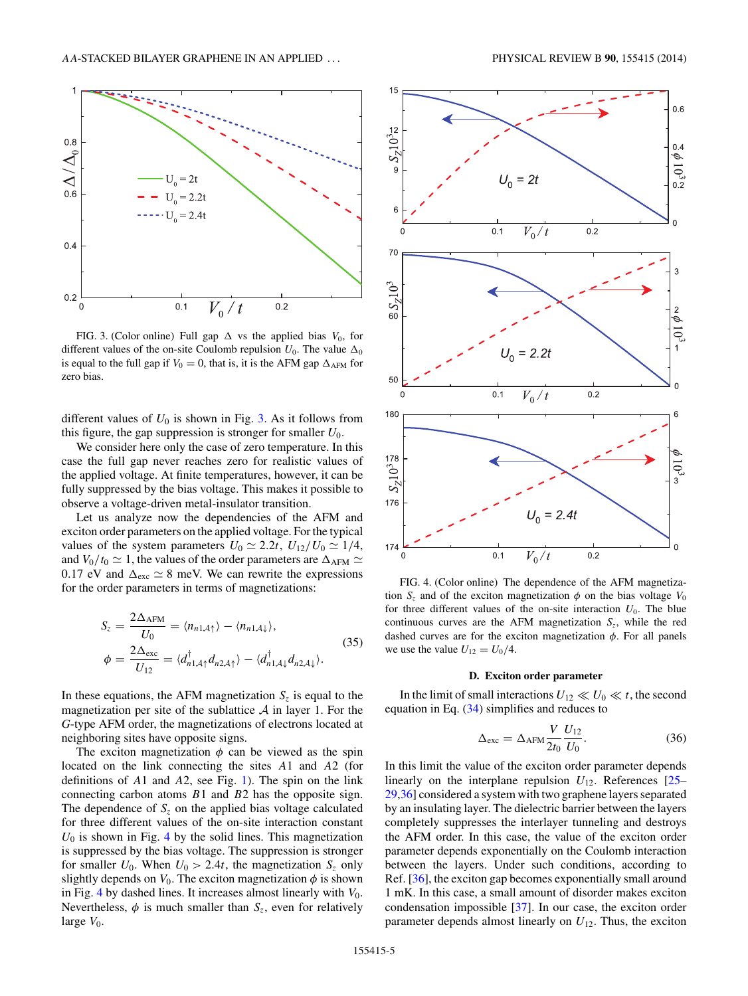

FIG. 3. (Color online) Full gap  $\Delta$  vs the applied bias  $V_0$ , for different values of the on-site Coulomb repulsion  $U_0$ . The value  $\Delta_0$ is equal to the full gap if  $V_0 = 0$ , that is, it is the AFM gap  $\Delta_{\text{AFM}}$  for zero bias.

different values of  $U_0$  is shown in Fig. 3. As it follows from this figure, the gap suppression is stronger for smaller  $U_0$ .

We consider here only the case of zero temperature. In this case the full gap never reaches zero for realistic values of the applied voltage. At finite temperatures, however, it can be fully suppressed by the bias voltage. This makes it possible to observe a voltage-driven metal-insulator transition.

Let us analyze now the dependencies of the AFM and exciton order parameters on the applied voltage. For the typical values of the system parameters  $U_0 \simeq 2.2t$ ,  $U_{12}/U_0 \simeq 1/4$ , and  $V_0/t_0 \simeq 1$ , the values of the order parameters are  $\Delta_{\rm AFM} \simeq$ 0.17 eV and  $\Delta_{\text{exc}} \simeq 8$  meV. We can rewrite the expressions for the order parameters in terms of magnetizations:

$$
S_z = \frac{2\Delta_{\text{AFM}}}{U_0} = \langle n_{n1A\uparrow} \rangle - \langle n_{n1A\downarrow} \rangle,
$$
  

$$
\phi = \frac{2\Delta_{\text{exc}}}{U_{12}} = \langle d_{n1A\uparrow}^{\dagger} d_{n2A\uparrow} \rangle - \langle d_{n1A\downarrow}^{\dagger} d_{n2A\downarrow} \rangle.
$$
 (35)

In these equations, the AFM magnetization  $S<sub>z</sub>$  is equal to the magnetization per site of the sublattice  $A$  in layer 1. For the *G*-type AFM order, the magnetizations of electrons located at neighboring sites have opposite signs.

The exciton magnetization  $\phi$  can be viewed as the spin located on the link connecting the sites *A*1 and *A*2 (for definitions of *A*1 and *A*2, see Fig. [1\)](#page-1-0). The spin on the link connecting carbon atoms *B*1 and *B*2 has the opposite sign. The dependence of  $S<sub>z</sub>$  on the applied bias voltage calculated for three different values of the on-site interaction constant  $U_0$  is shown in Fig. 4 by the solid lines. This magnetization is suppressed by the bias voltage. The suppression is stronger for smaller  $U_0$ . When  $U_0 > 2.4t$ , the magnetization  $S_z$  only slightly depends on  $V_0$ . The exciton magnetization  $\phi$  is shown in Fig. 4 by dashed lines. It increases almost linearly with  $V_0$ . Nevertheless,  $\phi$  is much smaller than  $S_z$ , even for relatively large  $V_0$ .



FIG. 4. (Color online) The dependence of the AFM magnetization  $S_z$  and of the exciton magnetization  $\phi$  on the bias voltage  $V_0$ for three different values of the on-site interaction  $U_0$ . The blue continuous curves are the AFM magnetization  $S_z$ , while the red dashed curves are for the exciton magnetization *φ*. For all panels we use the value  $U_{12} = U_0/4$ .

#### **D. Exciton order parameter**

In the limit of small interactions  $U_{12} \ll U_0 \ll t$ , the second equation in Eq. [\(34\)](#page-3-0) simplifies and reduces to

$$
\Delta_{\rm exc} = \Delta_{\rm AFM} \frac{V}{2t_0} \frac{U_{12}}{U_0}.
$$
\n(36)

In this limit the value of the exciton order parameter depends linearly on the interplane repulsion *U*12. References [\[25–](#page-6-0) [29,36\]](#page-7-0) considered a system with two graphene layers separated by an insulating layer. The dielectric barrier between the layers completely suppresses the interlayer tunneling and destroys the AFM order. In this case, the value of the exciton order parameter depends exponentially on the Coulomb interaction between the layers. Under such conditions, according to Ref. [\[36\]](#page-7-0), the exciton gap becomes exponentially small around 1 mK. In this case, a small amount of disorder makes exciton condensation impossible [\[37\]](#page-7-0). In our case, the exciton order parameter depends almost linearly on *U*12. Thus, the exciton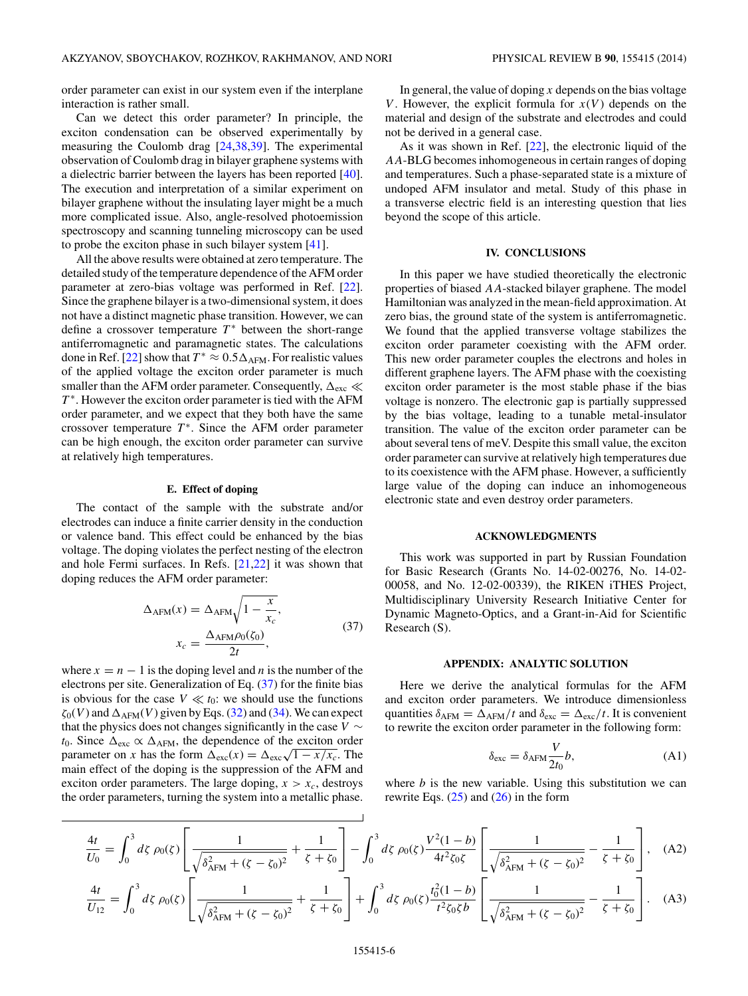<span id="page-5-0"></span>order parameter can exist in our system even if the interplane interaction is rather small.

Can we detect this order parameter? In principle, the exciton condensation can be observed experimentally by measuring the Coulomb drag [\[24,](#page-6-0)[38,39\]](#page-7-0). The experimental observation of Coulomb drag in bilayer graphene systems with a dielectric barrier between the layers has been reported [\[40\]](#page-7-0). The execution and interpretation of a similar experiment on bilayer graphene without the insulating layer might be a much more complicated issue. Also, angle-resolved photoemission spectroscopy and scanning tunneling microscopy can be used to probe the exciton phase in such bilayer system [\[41\]](#page-7-0).

All the above results were obtained at zero temperature. The detailed study of the temperature dependence of the AFM order parameter at zero-bias voltage was performed in Ref. [\[22\]](#page-6-0). Since the graphene bilayer is a two-dimensional system, it does not have a distinct magnetic phase transition. However, we can define a crossover temperature  $T^*$  between the short-range antiferromagnetic and paramagnetic states. The calculations done in Ref. [\[22\]](#page-6-0) show that  $T^* \approx 0.5 \Delta_{AFM}$ . For realistic values of the applied voltage the exciton order parameter is much smaller than the AFM order parameter. Consequently,  $\Delta_{\text{exc}} \ll$ *T*<sup>\*</sup>. However the exciton order parameter is tied with the AFM order parameter, and we expect that they both have the same crossover temperature  $T^*$ . Since the AFM order parameter can be high enough, the exciton order parameter can survive at relatively high temperatures.

# **E. Effect of doping**

The contact of the sample with the substrate and/or electrodes can induce a finite carrier density in the conduction or valence band. This effect could be enhanced by the bias voltage. The doping violates the perfect nesting of the electron and hole Fermi surfaces. In Refs. [\[21,22\]](#page-6-0) it was shown that doping reduces the AFM order parameter:

$$
\Delta_{AFM}(x) = \Delta_{AFM} \sqrt{1 - \frac{x}{x_c}},
$$
  

$$
x_c = \frac{\Delta_{AFM} \rho_0(\zeta_0)}{2t},
$$
 (37)

where  $x = n - 1$  is the doping level and *n* is the number of the electrons per site. Generalization of Eq. (37) for the finite bias is obvious for the case  $V \ll t_0$ : we should use the functions  $\zeta_0(V)$  and  $\Delta$ <sub>AFM</sub>(*V*) given by Eqs. [\(32\)](#page-3-0) and [\(34\)](#page-3-0). We can expect that the physics does not changes significantly in the case  $V \sim$ *t*<sub>0</sub>. Since  $\Delta_{\text{exc}} \propto \Delta_{\text{AFM}}$ , the dependence of the exciton order parameter on *x* has the form  $\Delta_{\rm exc}(x) = \Delta_{\rm exc}\sqrt{1 - x/x_c}$ . The main effect of the doping is the suppression of the AFM and exciton order parameters. The large doping,  $x > x_c$ , destroys the order parameters, turning the system into a metallic phase.

In general, the value of doping *x* depends on the bias voltage *V*. However, the explicit formula for  $x(V)$  depends on the material and design of the substrate and electrodes and could not be derived in a general case.

As it was shown in Ref. [\[22\]](#page-6-0), the electronic liquid of the *AA*-BLG becomes inhomogeneous in certain ranges of doping and temperatures. Such a phase-separated state is a mixture of undoped AFM insulator and metal. Study of this phase in a transverse electric field is an interesting question that lies beyond the scope of this article.

## **IV. CONCLUSIONS**

In this paper we have studied theoretically the electronic properties of biased *AA*-stacked bilayer graphene. The model Hamiltonian was analyzed in the mean-field approximation. At zero bias, the ground state of the system is antiferromagnetic. We found that the applied transverse voltage stabilizes the exciton order parameter coexisting with the AFM order. This new order parameter couples the electrons and holes in different graphene layers. The AFM phase with the coexisting exciton order parameter is the most stable phase if the bias voltage is nonzero. The electronic gap is partially suppressed by the bias voltage, leading to a tunable metal-insulator transition. The value of the exciton order parameter can be about several tens of meV. Despite this small value, the exciton order parameter can survive at relatively high temperatures due to its coexistence with the AFM phase. However, a sufficiently large value of the doping can induce an inhomogeneous electronic state and even destroy order parameters.

### **ACKNOWLEDGMENTS**

This work was supported in part by Russian Foundation for Basic Research (Grants No. 14-02-00276, No. 14-02- 00058, and No. 12-02-00339), the RIKEN iTHES Project, Multidisciplinary University Research Initiative Center for Dynamic Magneto-Optics, and a Grant-in-Aid for Scientific Research (S).

## **APPENDIX: ANALYTIC SOLUTION**

Here we derive the analytical formulas for the AFM and exciton order parameters. We introduce dimensionless quantities  $\delta_{AFM} = \Delta_{AFM}/t$  and  $\delta_{exc} = \Delta_{exc}/t$ . It is convenient to rewrite the exciton order parameter in the following form:

$$
\delta_{\rm exc} = \delta_{\rm AFM} \frac{V}{2t_0} b,\tag{A1}
$$

where *b* is the new variable. Using this substitution we can rewrite Eqs.  $(25)$  and  $(26)$  in the form

$$
\frac{4t}{U_0} = \int_0^3 d\zeta \,\rho_0(\zeta) \left[ \frac{1}{\sqrt{\delta_{\text{AFM}}^2 + (\zeta - \zeta_0)^2}} + \frac{1}{\zeta + \zeta_0} \right] - \int_0^3 d\zeta \,\rho_0(\zeta) \frac{V^2 (1 - b)}{4t^2 \zeta_0 \zeta} \left[ \frac{1}{\sqrt{\delta_{\text{AFM}}^2 + (\zeta - \zeta_0)^2}} - \frac{1}{\zeta + \zeta_0} \right], \quad \text{(A2)}
$$
\n
$$
\frac{4t}{U_{12}} = \int_0^3 d\zeta \,\rho_0(\zeta) \left[ \frac{1}{\sqrt{\delta_{\text{AFM}}^2 + (\zeta - \zeta_0)^2}} + \frac{1}{\zeta + \zeta_0} \right] + \int_0^3 d\zeta \,\rho_0(\zeta) \frac{t_0^2 (1 - b)}{t^2 \zeta_0 \zeta b} \left[ \frac{1}{\sqrt{\delta_{\text{AFM}}^2 + (\zeta - \zeta_0)^2}} - \frac{1}{\zeta + \zeta_0} \right]. \quad \text{(A3)}
$$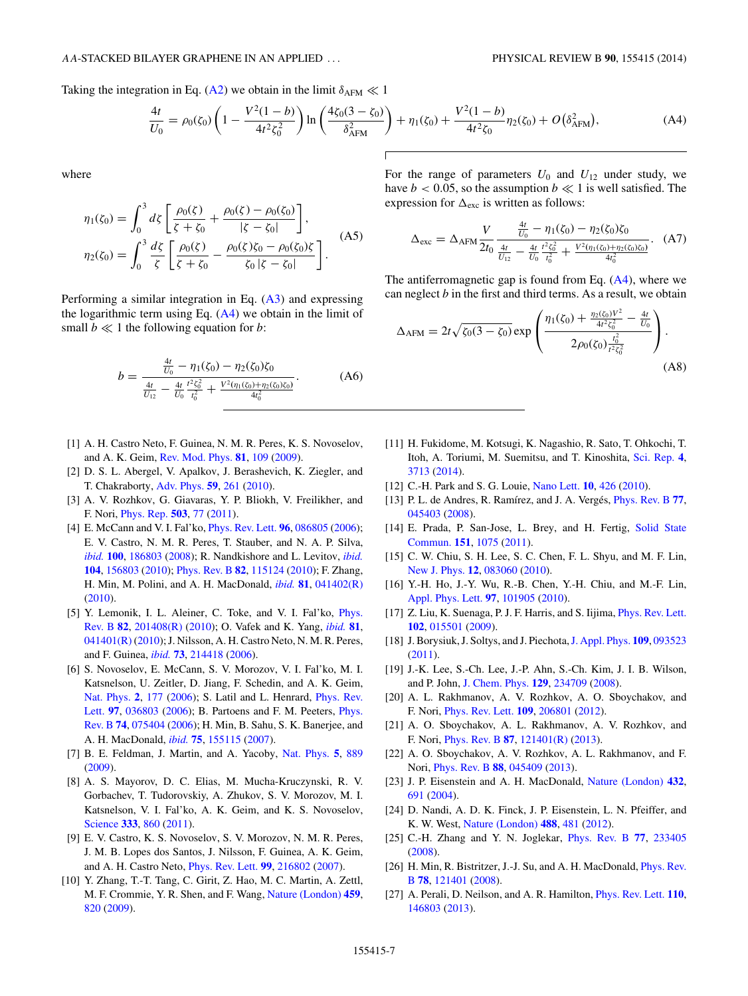<span id="page-6-0"></span>Taking the integration in Eq. [\(A2\)](#page-5-0) we obtain in the limit  $\delta_{\text{AFM}} \ll 1$ 

$$
\frac{4t}{U_0} = \rho_0(\zeta_0) \left( 1 - \frac{V^2 (1 - b)}{4t^2 \zeta_0^2} \right) \ln \left( \frac{4\zeta_0 (3 - \zeta_0)}{\delta_{\text{AFM}}^2} \right) + \eta_1(\zeta_0) + \frac{V^2 (1 - b)}{4t^2 \zeta_0} \eta_2(\zeta_0) + O\left(\delta_{\text{AFM}}^2\right),\tag{A4}
$$

where

$$
\eta_1(\zeta_0) = \int_0^3 d\zeta \left[ \frac{\rho_0(\zeta)}{\zeta + \zeta_0} + \frac{\rho_0(\zeta) - \rho_0(\zeta_0)}{|\zeta - \zeta_0|} \right],
$$
  
\n
$$
\eta_2(\zeta_0) = \int_0^3 \frac{d\zeta}{\zeta} \left[ \frac{\rho_0(\zeta)}{\zeta + \zeta_0} - \frac{\rho_0(\zeta)\zeta_0 - \rho_0(\zeta_0)\zeta}{\zeta_0 |\zeta - \zeta_0|} \right].
$$
 (A5)

Performing a similar integration in Eq. [\(A3\)](#page-5-0) and expressing the logarithmic term using Eq.  $(A4)$  we obtain in the limit of small  $b \ll 1$  the following equation for *b*:

$$
b = \frac{\frac{4t}{U_0} - \eta_1(\zeta_0) - \eta_2(\zeta_0)\zeta_0}{\frac{4t}{U_{12}} - \frac{4t}{U_0}\frac{t^2\zeta_0^2}{t_0^2} + \frac{V^2(\eta_1(\zeta_0) + \eta_2(\zeta_0)\zeta_0)}{4t_0^2}}.
$$
 (A6)

- [1] A. H. Castro Neto, F. Guinea, N. M. R. Peres, K. S. Novoselov, and A. K. Geim, [Rev. Mod. Phys.](http://dx.doi.org/10.1103/RevModPhys.81.109) **[81](http://dx.doi.org/10.1103/RevModPhys.81.109)**, [109](http://dx.doi.org/10.1103/RevModPhys.81.109) [\(2009\)](http://dx.doi.org/10.1103/RevModPhys.81.109).
- [2] D. S. L. Abergel, V. Apalkov, J. Berashevich, K. Ziegler, and T. Chakraborty, [Adv. Phys.](http://dx.doi.org/10.1080/00018732.2010.487978) **[59](http://dx.doi.org/10.1080/00018732.2010.487978)**, [261](http://dx.doi.org/10.1080/00018732.2010.487978) [\(2010\)](http://dx.doi.org/10.1080/00018732.2010.487978).
- [3] A. V. Rozhkov, G. Giavaras, Y. P. Bliokh, V. Freilikher, and F. Nori, [Phys. Rep.](http://dx.doi.org/10.1016/j.physrep.2011.02.002) **[503](http://dx.doi.org/10.1016/j.physrep.2011.02.002)**, [77](http://dx.doi.org/10.1016/j.physrep.2011.02.002) [\(2011\)](http://dx.doi.org/10.1016/j.physrep.2011.02.002).
- [4] E. McCann and V. I. Fal'ko, [Phys. Rev. Lett.](http://dx.doi.org/10.1103/PhysRevLett.96.086805) **[96](http://dx.doi.org/10.1103/PhysRevLett.96.086805)**, [086805](http://dx.doi.org/10.1103/PhysRevLett.96.086805) [\(2006\)](http://dx.doi.org/10.1103/PhysRevLett.96.086805); E. V. Castro, N. M. R. Peres, T. Stauber, and N. A. P. Silva, *[ibid.](http://dx.doi.org/10.1103/PhysRevLett.100.186803)* **[100](http://dx.doi.org/10.1103/PhysRevLett.100.186803)**, [186803](http://dx.doi.org/10.1103/PhysRevLett.100.186803) [\(2008\)](http://dx.doi.org/10.1103/PhysRevLett.100.186803); R. Nandkishore and L. Levitov, *[ibid.](http://dx.doi.org/10.1103/PhysRevLett.104.156803)* [104](http://dx.doi.org/10.1103/PhysRevLett.104.156803), [156803](http://dx.doi.org/10.1103/PhysRevLett.104.156803) [\(2010\)](http://dx.doi.org/10.1103/PhysRevB.82.115124); Phys. Rev. B [82](http://dx.doi.org/10.1103/PhysRevB.82.115124), [115124](http://dx.doi.org/10.1103/PhysRevB.82.115124) (2010); F. Zhang, H. Min, M. Polini, and A. H. MacDonald, *[ibid.](http://dx.doi.org/10.1103/PhysRevB.81.041402)* **[81](http://dx.doi.org/10.1103/PhysRevB.81.041402)**, [041402\(R\)](http://dx.doi.org/10.1103/PhysRevB.81.041402) [\(2010\)](http://dx.doi.org/10.1103/PhysRevB.81.041402).
- [5] [Y. Lemonik, I. L. Aleiner, C. Toke, and V. I. Fal'ko,](http://dx.doi.org/10.1103/PhysRevB.82.201408) Phys. Rev. B **[82](http://dx.doi.org/10.1103/PhysRevB.82.201408)**, [201408\(R\)](http://dx.doi.org/10.1103/PhysRevB.82.201408) [\(2010\)](http://dx.doi.org/10.1103/PhysRevB.82.201408); O. Vafek and K. Yang, *[ibid.](http://dx.doi.org/10.1103/PhysRevB.81.041401)* **[81](http://dx.doi.org/10.1103/PhysRevB.81.041401)**, [041401\(R\)](http://dx.doi.org/10.1103/PhysRevB.81.041401) [\(2010\)](http://dx.doi.org/10.1103/PhysRevB.81.041401); J. Nilsson, A. H. Castro Neto, N. M. R. Peres, and F. Guinea, *[ibid.](http://dx.doi.org/10.1103/PhysRevB.73.214418)* **[73](http://dx.doi.org/10.1103/PhysRevB.73.214418)**, [214418](http://dx.doi.org/10.1103/PhysRevB.73.214418) [\(2006\)](http://dx.doi.org/10.1103/PhysRevB.73.214418).
- [6] S. Novoselov, E. McCann, S. V. Morozov, V. I. Fal'ko, M. I. Katsnelson, U. Zeitler, D. Jiang, F. Schedin, and A. K. Geim, [Nat. Phys.](http://dx.doi.org/10.1038/nphys245) **[2](http://dx.doi.org/10.1038/nphys245)**, [177](http://dx.doi.org/10.1038/nphys245) [\(2006\)](http://dx.doi.org/10.1038/nphys245); S. Latil and L. Henrard, Phys. Rev. Lett. **[97](http://dx.doi.org/10.1103/PhysRevLett.97.036803)**, [036803](http://dx.doi.org/10.1103/PhysRevLett.97.036803) [\(2006\); B. Partoens and F. M. Peeters,](http://dx.doi.org/10.1103/PhysRevLett.97.036803) Phys. Rev. B **[74](http://dx.doi.org/10.1103/PhysRevB.74.075404)**, [075404](http://dx.doi.org/10.1103/PhysRevB.74.075404) [\(2006\); H. Min, B. Sahu, S. K. Banerjee, and](http://dx.doi.org/10.1103/PhysRevB.74.075404) A. H. MacDonald, *[ibid.](http://dx.doi.org/10.1103/PhysRevB.75.155115)* **[75](http://dx.doi.org/10.1103/PhysRevB.75.155115)**, [155115](http://dx.doi.org/10.1103/PhysRevB.75.155115) [\(2007\)](http://dx.doi.org/10.1103/PhysRevB.75.155115).
- [7] B. E. Feldman, J. Martin, and A. Yacoby, [Nat. Phys.](http://dx.doi.org/10.1038/nphys1406) **[5](http://dx.doi.org/10.1038/nphys1406)**, [889](http://dx.doi.org/10.1038/nphys1406) [\(2009\)](http://dx.doi.org/10.1038/nphys1406).
- [8] A. S. Mayorov, D. C. Elias, M. Mucha-Kruczynski, R. V. Gorbachev, T. Tudorovskiy, A. Zhukov, S. V. Morozov, M. I. Katsnelson, V. I. Fal'ko, A. K. Geim, and K. S. Novoselov, [Science](http://dx.doi.org/10.1126/science.1208683) **[333](http://dx.doi.org/10.1126/science.1208683)**, [860](http://dx.doi.org/10.1126/science.1208683) [\(2011\)](http://dx.doi.org/10.1126/science.1208683).
- [9] E. V. Castro, K. S. Novoselov, S. V. Morozov, N. M. R. Peres, J. M. B. Lopes dos Santos, J. Nilsson, F. Guinea, A. K. Geim, and A. H. Castro Neto, [Phys. Rev. Lett.](http://dx.doi.org/10.1103/PhysRevLett.99.216802) **[99](http://dx.doi.org/10.1103/PhysRevLett.99.216802)**, [216802](http://dx.doi.org/10.1103/PhysRevLett.99.216802) [\(2007\)](http://dx.doi.org/10.1103/PhysRevLett.99.216802).
- [10] Y. Zhang, T.-T. Tang, C. Girit, Z. Hao, M. C. Martin, A. Zettl, M. F. Crommie, Y. R. Shen, and F. Wang, [Nature \(London\)](http://dx.doi.org/10.1038/nature08105) **[459](http://dx.doi.org/10.1038/nature08105)**, [820](http://dx.doi.org/10.1038/nature08105) [\(2009\)](http://dx.doi.org/10.1038/nature08105).

For the range of parameters  $U_0$  and  $U_{12}$  under study, we have  $b < 0.05$ , so the assumption  $b \ll 1$  is well satisfied. The expression for  $\Delta_{\text{exc}}$  is written as follows:

$$
\Delta_{\rm exc} = \Delta_{\rm AFM} \frac{V}{2t_0} \frac{\frac{4t}{U_0} - \eta_1(\zeta_0) - \eta_2(\zeta_0)\zeta_0}{\frac{4t}{U_{12}} - \frac{4t}{U_0} \frac{t^2 \zeta_0^2}{t_0^2} + \frac{V^2(\eta_1(\zeta_0) + \eta_2(\zeta_0)\zeta_0)}{4t_0^2}}.
$$
 (A7)

The antiferromagnetic gap is found from Eq. (A4), where we can neglect *b* in the first and third terms. As a result, we obtain

$$
\Delta_{\text{AFM}} = 2t\sqrt{\zeta_0(3-\zeta_0)} \exp\left(\frac{\eta_1(\zeta_0) + \frac{\eta_2(\zeta_0)V^2}{4t^2\zeta_0^2} - \frac{4t}{U_0}}{2\rho_0(\zeta_0)\frac{t_0^2}{t^2\zeta_0^2}}\right).
$$
\n(A8)

- [11] H. Fukidome, M. Kotsugi, K. Nagashio, R. Sato, T. Ohkochi, T. Itoh, A. Toriumi, M. Suemitsu, and T. Kinoshita, [Sci. Rep.](http://dx.doi.org/10.1038/srep03713) **[4](http://dx.doi.org/10.1038/srep03713)**, [3713](http://dx.doi.org/10.1038/srep03713) [\(2014\)](http://dx.doi.org/10.1038/srep03713).
- [12] C.-H. Park and S. G. Louie, [Nano Lett.](http://dx.doi.org/10.1021/nl902932k) **[10](http://dx.doi.org/10.1021/nl902932k)**, [426](http://dx.doi.org/10.1021/nl902932k) [\(2010\)](http://dx.doi.org/10.1021/nl902932k).
- [13] P. L. de Andres, R. Ramírez, and J. A. Vergés, *[Phys. Rev. B](http://dx.doi.org/10.1103/PhysRevB.77.045403) [77](http://dx.doi.org/10.1103/PhysRevB.77.045403)*, [045403](http://dx.doi.org/10.1103/PhysRevB.77.045403) [\(2008\)](http://dx.doi.org/10.1103/PhysRevB.77.045403).
- [14] [E. Prada, P. San-Jose, L. Brey, and H. Fertig,](http://dx.doi.org/10.1016/j.ssc.2011.05.016) Solid State Commun. **[151](http://dx.doi.org/10.1016/j.ssc.2011.05.016)**, [1075](http://dx.doi.org/10.1016/j.ssc.2011.05.016) [\(2011\)](http://dx.doi.org/10.1016/j.ssc.2011.05.016).
- [15] C. W. Chiu, S. H. Lee, S. C. Chen, F. L. Shyu, and M. F. Lin, [New J. Phys.](http://dx.doi.org/10.1088/1367-2630/12/8/083060) **[12](http://dx.doi.org/10.1088/1367-2630/12/8/083060)**, [083060](http://dx.doi.org/10.1088/1367-2630/12/8/083060) [\(2010\)](http://dx.doi.org/10.1088/1367-2630/12/8/083060).
- [16] Y.-H. Ho, J.-Y. Wu, R.-B. Chen, Y.-H. Chiu, and M.-F. Lin, [Appl. Phys. Lett.](http://dx.doi.org/10.1063/1.3488806) **[97](http://dx.doi.org/10.1063/1.3488806)**, [101905](http://dx.doi.org/10.1063/1.3488806) [\(2010\)](http://dx.doi.org/10.1063/1.3488806).
- [17] Z. Liu, K. Suenaga, P. J. F. Harris, and S. Iijima, *[Phys. Rev. Lett.](http://dx.doi.org/10.1103/PhysRevLett.102.015501)* **[102](http://dx.doi.org/10.1103/PhysRevLett.102.015501)**, [015501](http://dx.doi.org/10.1103/PhysRevLett.102.015501) [\(2009\)](http://dx.doi.org/10.1103/PhysRevLett.102.015501).
- [18] J. Borysiuk, J. Soltys, and J. Piechota,[J. Appl. Phys.](http://dx.doi.org/10.1063/1.3585829) **[109](http://dx.doi.org/10.1063/1.3585829)**, [093523](http://dx.doi.org/10.1063/1.3585829) [\(2011\)](http://dx.doi.org/10.1063/1.3585829).
- [19] J.-K. Lee, S.-Ch. Lee, J.-P. Ahn, S.-Ch. Kim, J. I. B. Wilson, and P. John, [J. Chem. Phys.](http://dx.doi.org/10.1063/1.2975333) **[129](http://dx.doi.org/10.1063/1.2975333)**, [234709](http://dx.doi.org/10.1063/1.2975333) [\(2008\)](http://dx.doi.org/10.1063/1.2975333).
- [20] A. L. Rakhmanov, A. V. Rozhkov, A. O. Sboychakov, and F. Nori, [Phys. Rev. Lett.](http://dx.doi.org/10.1103/PhysRevLett.109.206801) **[109](http://dx.doi.org/10.1103/PhysRevLett.109.206801)**, [206801](http://dx.doi.org/10.1103/PhysRevLett.109.206801) [\(2012\)](http://dx.doi.org/10.1103/PhysRevLett.109.206801).
- [21] A. O. Sboychakov, A. L. Rakhmanov, A. V. Rozhkov, and F. Nori, [Phys. Rev. B](http://dx.doi.org/10.1103/PhysRevB.87.121401) **[87](http://dx.doi.org/10.1103/PhysRevB.87.121401)**, [121401\(R\)](http://dx.doi.org/10.1103/PhysRevB.87.121401) [\(2013\)](http://dx.doi.org/10.1103/PhysRevB.87.121401).
- [22] A. O. Sboychakov, A. V. Rozhkov, A. L. Rakhmanov, and F. Nori, [Phys. Rev. B](http://dx.doi.org/10.1103/PhysRevB.88.045409) **[88](http://dx.doi.org/10.1103/PhysRevB.88.045409)**, [045409](http://dx.doi.org/10.1103/PhysRevB.88.045409) [\(2013\)](http://dx.doi.org/10.1103/PhysRevB.88.045409).
- [23] J. P. Eisenstein and A. H. MacDonald, [Nature \(London\)](http://dx.doi.org/10.1038/nature03081) **[432](http://dx.doi.org/10.1038/nature03081)**, [691](http://dx.doi.org/10.1038/nature03081) [\(2004\)](http://dx.doi.org/10.1038/nature03081).
- [24] D. Nandi, A. D. K. Finck, J. P. Eisenstein, L. N. Pfeiffer, and K. W. West, [Nature \(London\)](http://dx.doi.org/10.1038/nature11302) **[488](http://dx.doi.org/10.1038/nature11302)**, [481](http://dx.doi.org/10.1038/nature11302) [\(2012\)](http://dx.doi.org/10.1038/nature11302).
- [25] C.-H. Zhang and Y. N. Joglekar, [Phys. Rev. B](http://dx.doi.org/10.1103/PhysRevB.77.233405) **[77](http://dx.doi.org/10.1103/PhysRevB.77.233405)**, [233405](http://dx.doi.org/10.1103/PhysRevB.77.233405) [\(2008\)](http://dx.doi.org/10.1103/PhysRevB.77.233405).
- [26] [H. Min, R. Bistritzer, J.-J. Su, and A. H. MacDonald,](http://dx.doi.org/10.1103/PhysRevB.78.121401) *Phys. Rev.* B **[78](http://dx.doi.org/10.1103/PhysRevB.78.121401)**, [121401](http://dx.doi.org/10.1103/PhysRevB.78.121401) [\(2008\)](http://dx.doi.org/10.1103/PhysRevB.78.121401).
- [27] A. Perali, D. Neilson, and A. R. Hamilton, [Phys. Rev. Lett.](http://dx.doi.org/10.1103/PhysRevLett.110.146803) **[110](http://dx.doi.org/10.1103/PhysRevLett.110.146803)**, [146803](http://dx.doi.org/10.1103/PhysRevLett.110.146803) [\(2013\)](http://dx.doi.org/10.1103/PhysRevLett.110.146803).